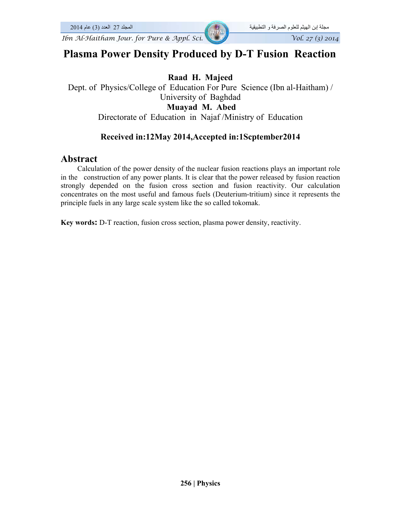# **Plasma Power Density Produced by D-T Fusion Reaction**

### **Raad H. Majeed**

Dept. of Physics/College of Education For Pure Science (Ibn al-Haitham) / University of Baghdad **Muayad M. Abed**  Directorate of Education in Najaf /Ministry of Education

# **Received in:12May 2014,Accepted in:1Scptember2014**

# **Abstract**

 Calculation of the power density of the nuclear fusion reactions plays an important role in the construction of any power plants. It is clear that the power released by fusion reaction strongly depended on the fusion cross section and fusion reactivity. Our calculation concentrates on the most useful and famous fuels (Deuterium-tritium) since it represents the principle fuels in any large scale system like the so called tokomak.

**Key words:** D-T reaction, fusion cross section, plasma power density, reactivity.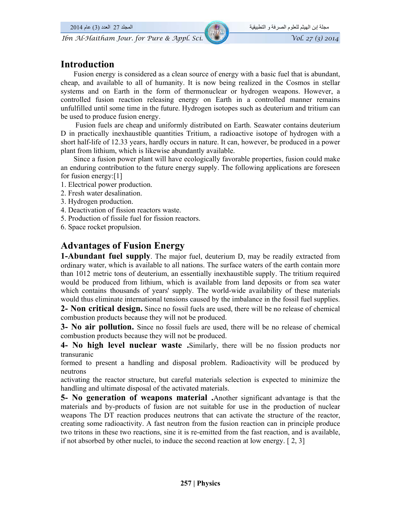# **Introduction**

 Fusion energy is considered as a clean source of energy with a basic fuel that is abundant, cheap, and available to all of humanity. It is now being realized in the Cosmos in stellar systems and on Earth in the form of thermonuclear or hydrogen weapons. However, a controlled fusion reaction releasing energy on Earth in a controlled manner remains unfulfilled until some time in the future. Hydrogen isotopes such as deuterium and tritium can be used to produce fusion energy.

 Fusion fuels are cheap and uniformly distributed on Earth. Seawater contains deuterium D in practically inexhaustible quantities Tritium, a radioactive isotope of hydrogen with a short half-life of 12.33 years, hardly occurs in nature. It can, however, be produced in a power plant from lithium, which is likewise abundantly available.

 Since a fusion power plant will have ecologically favorable properties, fusion could make an enduring contribution to the future energy supply. The following applications are foreseen for fusion energy:[1]

- 1. Electrical power production.
- 2. Fresh water desalination.
- 3. Hydrogen production.
- 4. Deactivation of fission reactors waste.
- 5. Production of fissile fuel for fission reactors.
- 6. Space rocket propulsion.

# **Advantages of Fusion Energy**

**1-Abundant fuel supply**. The major fuel, deuterium D, may be readily extracted from ordinary water, which is available to all nations. The surface waters of the earth contain more than 1012 metric tons of deuterium, an essentially inexhaustible supply. The tritium required would be produced from lithium, which is available from land deposits or from sea water which contains thousands of years' supply. The world-wide availability of these materials would thus eliminate international tensions caused by the imbalance in the fossil fuel supplies.

**2- Non critical design.** Since no fossil fuels are used, there will be no release of chemical combustion products because they will not be produced.

**3- No air pollution.** Since no fossil fuels are used, there will be no release of chemical combustion products because they will not be produced.

**4- No high level nuclear waste .**Similarly, there will be no fission products nor transuranic

formed to present a handling and disposal problem. Radioactivity will be produced by neutrons

activating the reactor structure, but careful materials selection is expected to minimize the handling and ultimate disposal of the activated materials.

**5- No generation of weapons material .**Another significant advantage is that the materials and by-products of fusion are not suitable for use in the production of nuclear weapons The DT reaction produces neutrons that can activate the structure of the reactor, creating some radioactivity. A fast neutron from the fusion reaction can in principle produce two tritons in these two reactions, sine it is re-emitted from the fast reaction, and is available, if not absorbed by other nuclei, to induce the second reaction at low energy. [ 2, 3]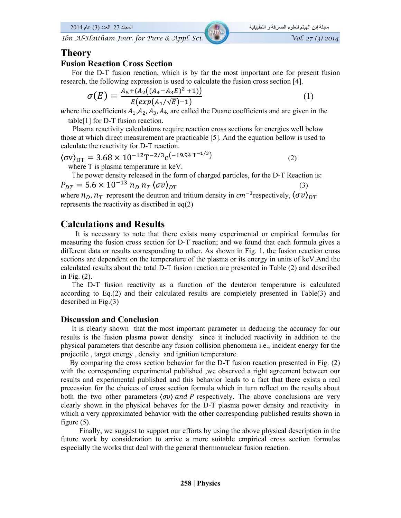### **Theory**

#### **Fusion Reaction Cross Section**

 For the D-T fusion reaction, which is by far the most important one for present fusion research, the following expression is used to calculate the fusion cross section [4].

$$
\sigma(E) = \frac{A_5 + (A_2((A_4 - A_3 E)^2 + 1))}{E(exp(A_1/\sqrt{E}) - 1)}
$$
(1)

where the coefficients  $A_1, A_2, A_3, A_4$ , are called the Duane coefficients and are given in the table[1] for D-T fusion reaction.

 Plasma reactivity calculations require reaction cross sections for energies well below those at which direct measurement are practicable [5]. And the equation bellow is used to calculate the reactivity for D-T reaction.

$$
\langle \sigma v \rangle_{DT} = 3.68 \times 10^{-12} T^{-2/3} e^{(-19.94 T^{-1/3})}
$$
 (2)

where T is plasma temperature in keV.

 The power density released in the form of charged particles, for the D-T Reaction is:  $P_{DT} = 5.6 \times 10^{-13} n_D n_T \langle \sigma v \rangle_{DT}$  (3) where  $n_D$ ,  $n_T$  represent the deutron and tritium density in  $cm^{-3}$  respectively,  $\langle \sigma v \rangle_{DT}$ 

represents the reactivity as discribed in eq(2)

### **Calculations and Results**

 It is necessary to note that there exists many experimental or empirical formulas for measuring the fusion cross section for D-T reaction; and we found that each formula gives a different data or results corresponding to other. As shown in Fig. 1, the fusion reaction cross sections are dependent on the temperature of the plasma or its energy in units of keV.And the calculated results about the total D-T fusion reaction are presented in Table (2) and described in Fig. (2).

 The D-T fusion reactivity as a function of the deuteron temperature is calculated according to Eq.(2) and their calculated results are completely presented in Table(3) and described in Fig.(3)

#### **Discussion and Conclusion**

 It is clearly shown that the most important parameter in deducing the accuracy for our results is the fusion plasma power density since it included reactivity in addition to the physical parameters that describe any fusion collision phenomena i.e., incident energy for the projectile , target energy , density and ignition temperature.

 By comparing the cross section behavior for the D-T fusion reaction presented in Fig. (2) with the corresponding experimental published ,we observed a right agreement between our results and experimental published and this behavior leads to a fact that there exists a real precession for the choices of cross section formula which in turn reflect on the results about both the two other parameters  $\langle \sigma v \rangle$  and P respectively. The above conclusions are very clearly shown in the physical behaves for the D-T plasma power density and reactivity in which a very approximated behavior with the other corresponding published results shown in figure (5).

 Finally, we suggest to support our efforts by using the above physical description in the future work by consideration to arrive a more suitable empirical cross section formulas especially the works that deal with the general thermonuclear fusion reaction.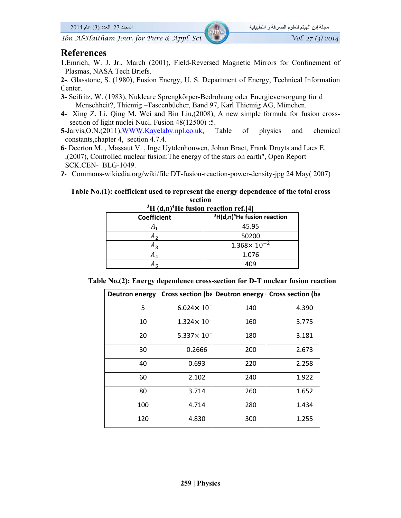### **References**

- 1.Emrich, W. J. Jr., March (2001), Field-Reversed Magnetic Mirrors for Confinement of Plasmas, NASA Tech Briefs.
- **2-**. Glasstone, S. (1980), Fusion Energy, U. S. Department of Energy, Technical Information Center.
- **3-** Seifritz, W. (1983), Nukleare Sprengkörper-Bedrohung oder Energieversorgung fur d Menschheit?, Thiemig –Tascenbücher, Band 97, Karl Thiemig AG, München.
- **4-** Xing Z. Li, Qing M. Wei and Bin Liu,(2008), A new simple formula for fusion crosssection of light nuclei Nucl. Fusion 48(12500) :5.
- **5-**Jarvis,O.N.(2011),WWW.Kayelaby.npl.co.uk, Table of physics and chemical constants,chapter 4, section 4.7.4.
- **6‐** Decrton M. , Massaut V. , Inge Uytdenhouwen, Johan Braet, Frank Druyts and Laes E. ,(2007), Controlled nuclear fusion:The energy of the stars on earth", Open Report SCK.CEN- BLG-1049.
- **7‐** Commons-wikiedia.org/wiki/file DT-fusion-reaction-power-density-jpg 24 May( 2007)

#### **Table No.(1): coefficient used to represent the energy dependence of the total cross section**

| ${}^{3}H$ (d,n) <sup>4</sup> He fusion reaction ref.[4] |                                |  |  |
|---------------------------------------------------------|--------------------------------|--|--|
| <b>Coefficient</b>                                      | $3H(d,n)^4$ He fusion reaction |  |  |
|                                                         | 45.95                          |  |  |
| A,                                                      | 50200                          |  |  |
| A,                                                      | $1.368 \times 10^{-2}$         |  |  |
| A4                                                      | 1.076                          |  |  |
|                                                         | 409                            |  |  |

|  |  |  |  | Table No.(2): Energy dependence cross-section for D-T nuclear fusion reaction |  |  |  |  |  |
|--|--|--|--|-------------------------------------------------------------------------------|--|--|--|--|--|
|--|--|--|--|-------------------------------------------------------------------------------|--|--|--|--|--|

| Deutron energy |                        | Cross section (ba Deutron energy | Cross section (ba |
|----------------|------------------------|----------------------------------|-------------------|
| 5              | $6.024 \times 10^{-7}$ | 140                              | 4.390             |
| 10             | $1.324 \times 10^{-7}$ | 160                              | 3.775             |
| 20             | $5.337 \times 10^{-7}$ | 180                              | 3.181             |
| 30             | 0.2666                 | 200                              | 2.673             |
| 40             | 0.693                  | 220                              | 2.258             |
| 60             | 2.102                  | 240                              | 1.922             |
| 80             | 3.714                  | 260                              | 1.652             |
| 100            | 4.714                  | 280                              | 1.434             |
| 120            | 4.830                  | 300                              | 1.255             |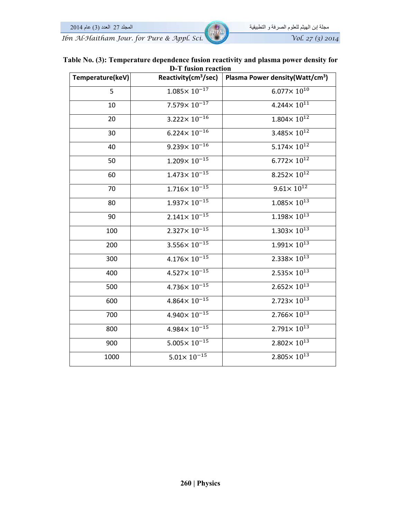مجلة إبن الھيثم للعلوم الصرفة و التطبيقية المجلد 27 العدد (3) عام *Ibn Al-Haitham Jour. for Pure & Appl. Sci.* Vol. 27 (3) 2014

| Table No. (3): Temperature dependence fusion reactivity and plasma power density for |  |  |  |
|--------------------------------------------------------------------------------------|--|--|--|
| D-T fusion reaction                                                                  |  |  |  |

| Temperature(keV) | Reactivity(cm <sup>3</sup> /sec) | Plasma Power density (Watt/cm <sup>3</sup> ) |
|------------------|----------------------------------|----------------------------------------------|
| 5                | $1.085 \times 10^{-17}$          | $6.077 \times 10^{10}$                       |
| 10               | $7.579 \times 10^{-17}$          | $4.244 \times 10^{11}$                       |
| 20               | $3.222 \times 10^{-16}$          | $1.804 \times 10^{12}$                       |
| 30               | $6.224 \times 10^{-16}$          | $3.485 \times 10^{12}$                       |
| 40               | $9.239 \times 10^{-16}$          | $5.174 \times 10^{12}$                       |
| 50               | $1.209 \times 10^{-15}$          | $6.772 \times 10^{12}$                       |
| 60               | $1.473 \times 10^{-15}$          | $8.252 \times 10^{12}$                       |
| 70               | $1.716 \times 10^{-15}$          | $9.61 \times 10^{12}$                        |
| 80               | $1.937 \times 10^{-15}$          | $1.085 \times 10^{13}$                       |
| 90               | $2.141 \times 10^{-15}$          | $1.198 \times 10^{13}$                       |
| 100              | $2.327 \times 10^{-15}$          | $1.303 \times 10^{13}$                       |
| 200              | $3.556 \times 10^{-15}$          | $1.991 \times 10^{13}$                       |
| 300              | $4.176 \times 10^{-15}$          | $2.338 \times 10^{13}$                       |
| 400              | $4.527 \times 10^{-15}$          | $2.535 \times 10^{13}$                       |
| 500              | $4.736 \times 10^{-15}$          | $2.652 \times 10^{13}$                       |
| 600              | $4.864 \times 10^{-15}$          | $2.723 \times 10^{13}$                       |
| 700              | $4.940 \times 10^{-15}$          | $2.766 \times 10^{13}$                       |
| 800              | $4.984 \times 10^{-15}$          | $2.791 \times 10^{13}$                       |
| 900              | $5.005 \times 10^{-15}$          | $2.802 \times 10^{13}$                       |
| 1000             | $5.01 \times 10^{-15}$           | $2.805 \times 10^{13}$                       |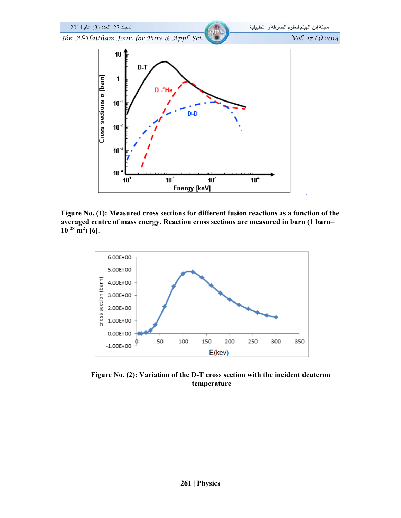

**Figure No. (1): Measured cross sections for different fusion reactions as a function of the averaged centre of mass energy. Reaction cross sections are measured in barn (1 barn=**   $10^{-28}$  m<sup>2</sup>) [6].



**Figure No. (2): Variation of the D-T cross section with the incident deuteron temperature**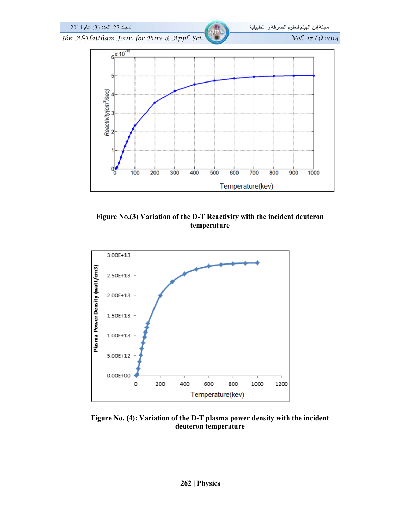

**Figure No.(3) Variation of the D-T Reactivity with the incident deuteron temperature** 



**Figure No. (4): Variation of the D-T plasma power density with the incident deuteron temperature**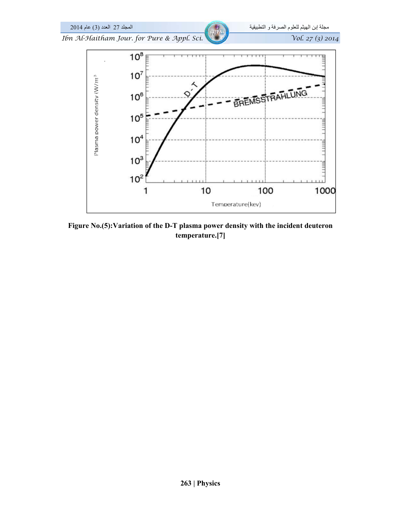

**Figure No.(5):Variation of the D-T plasma power density with the incident deuteron temperature.[7]**